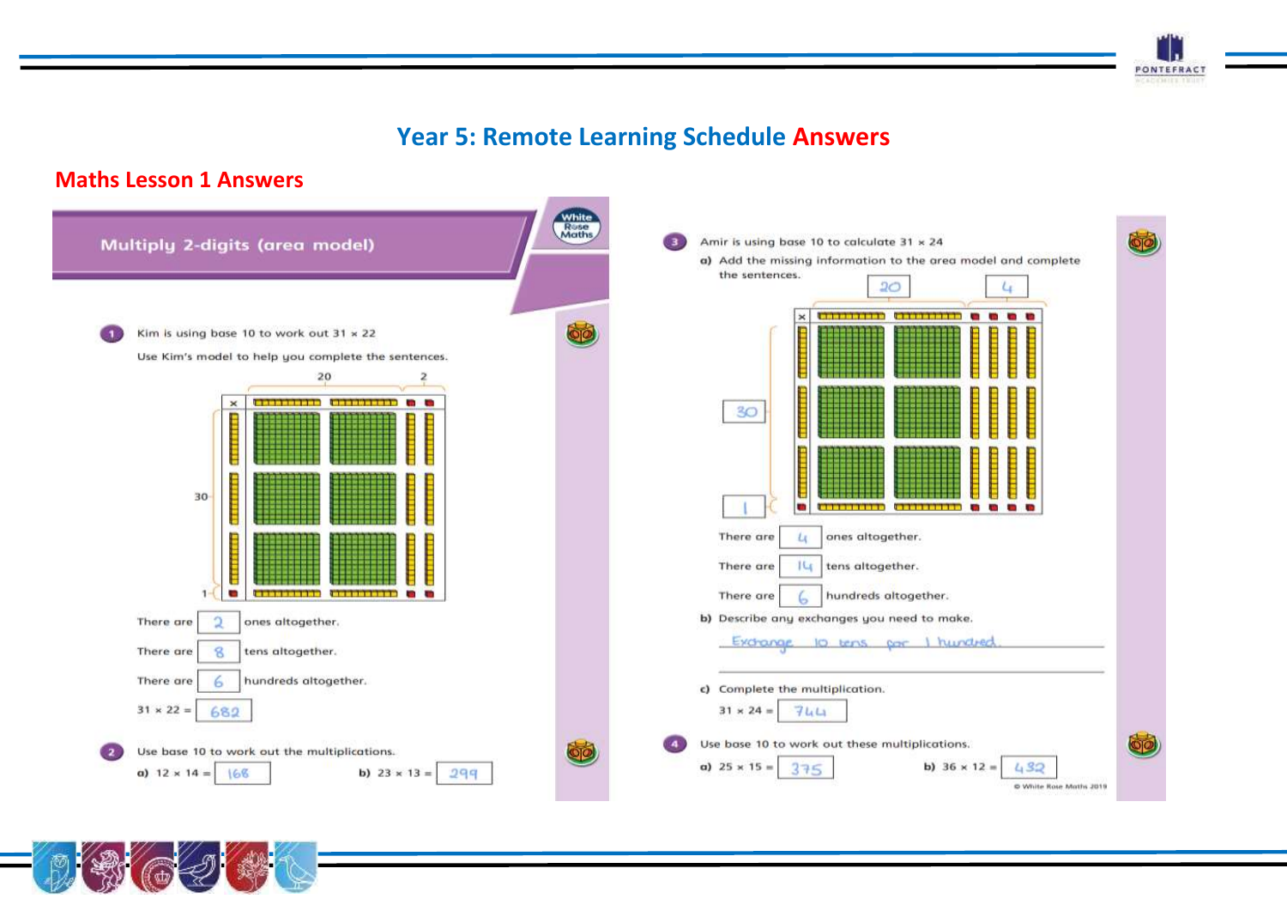# **Year 5: Remote Learning Schedule Answers**

**PONTEFRACT** WEADOWER THIS

#### **Maths Lesson 1 Answers**

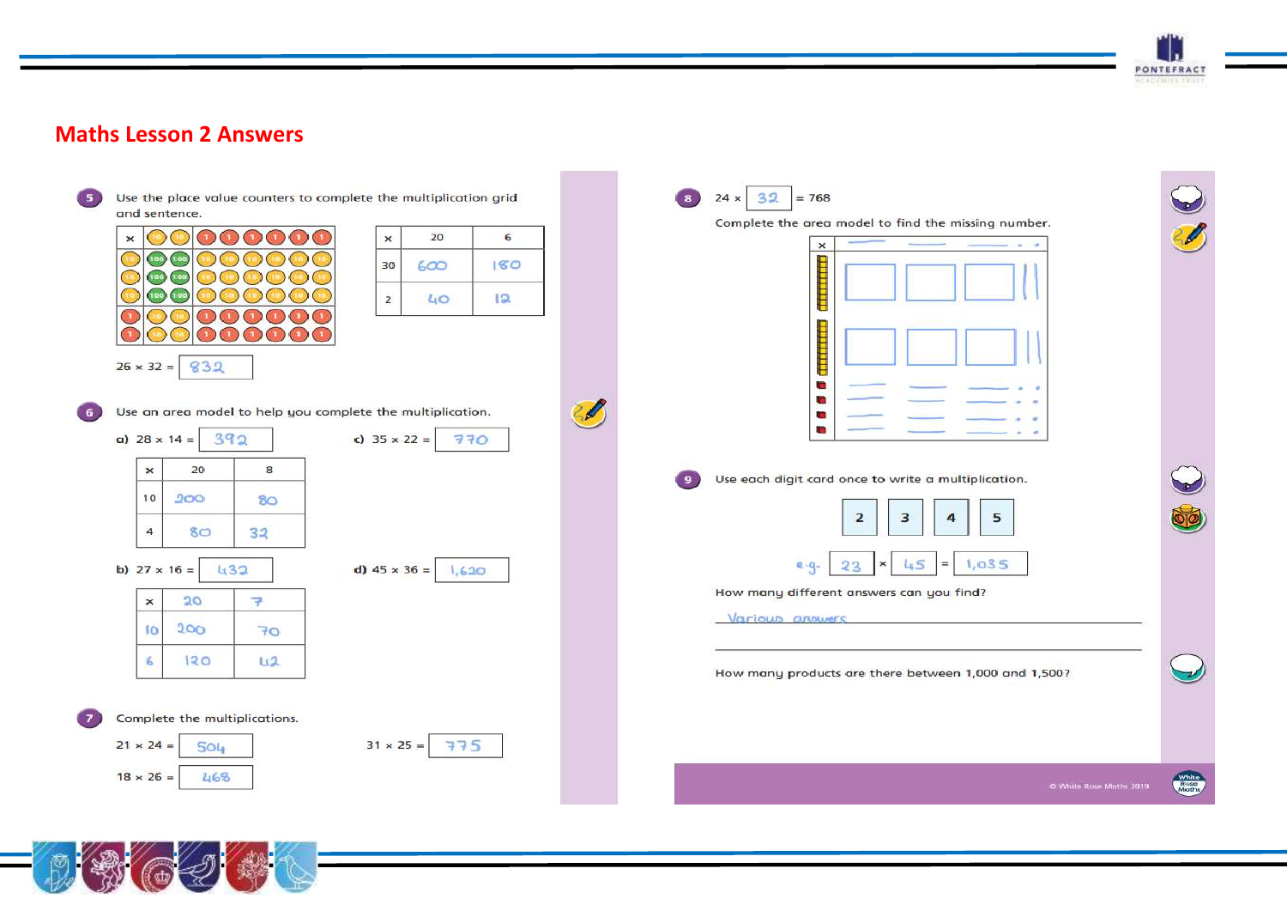

#### **Maths Lesson 2 Answers**



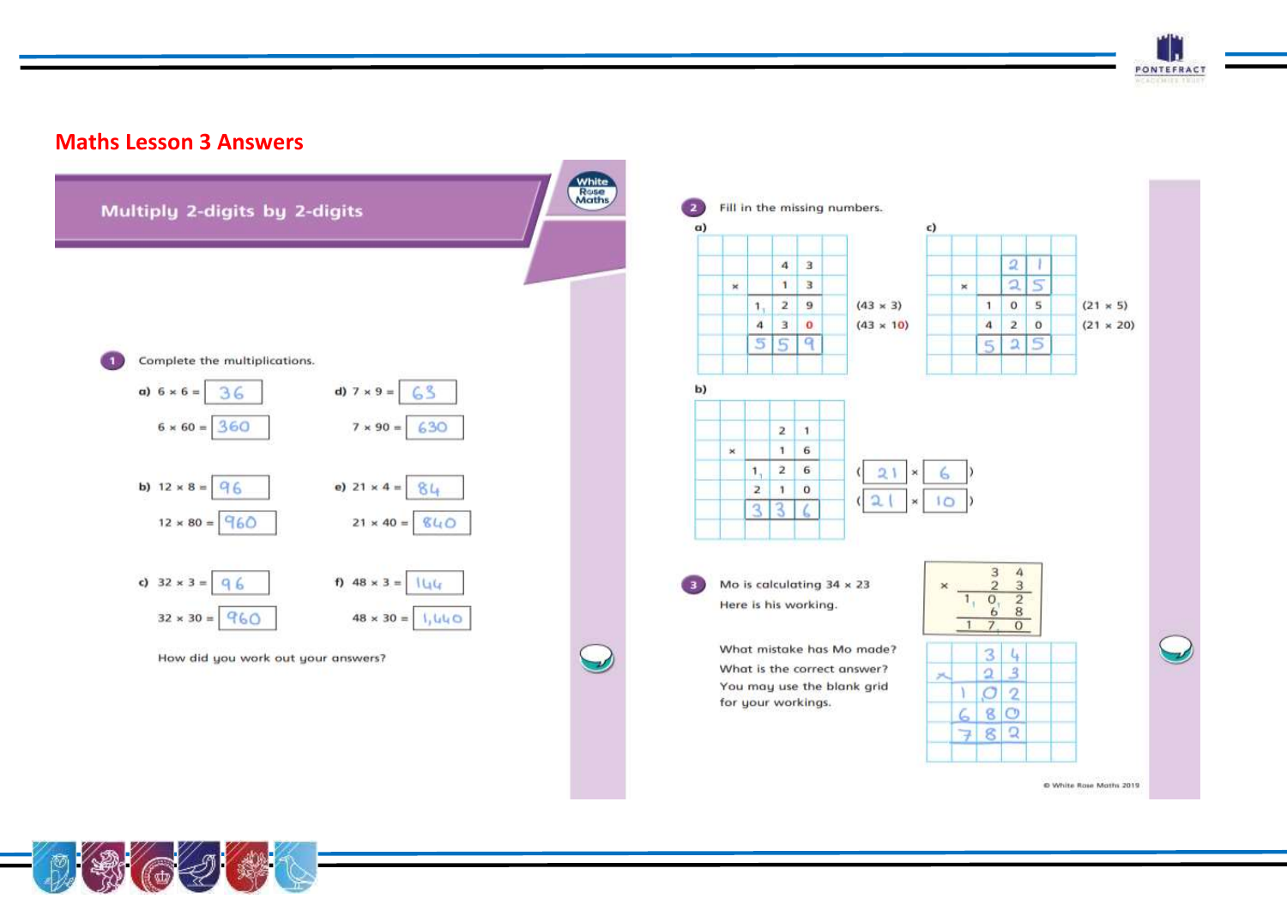

#### **Maths Lesson 3 Answers**



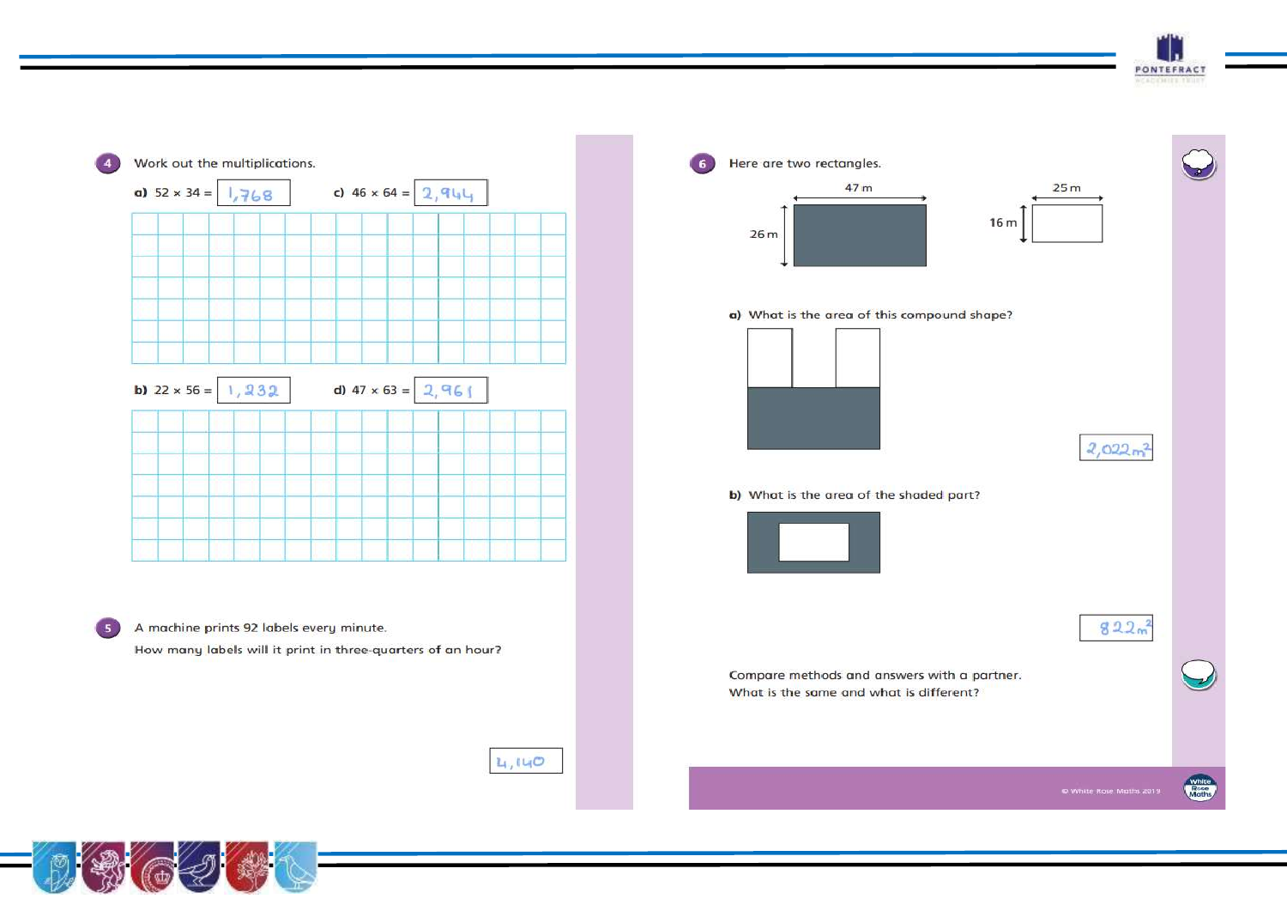



 $4,140$ 

Here are two rectangles. 6 47 m  $25<sub>m</sub>$  $16<sub>m</sub>$  $26m$ a) What is the area of this compound shape?  $2,022m^2$ b) What is the area of the shaded part?  $822<sub>m</sub>^2$ Compare methods and answers with a partner. What is the same and what is different?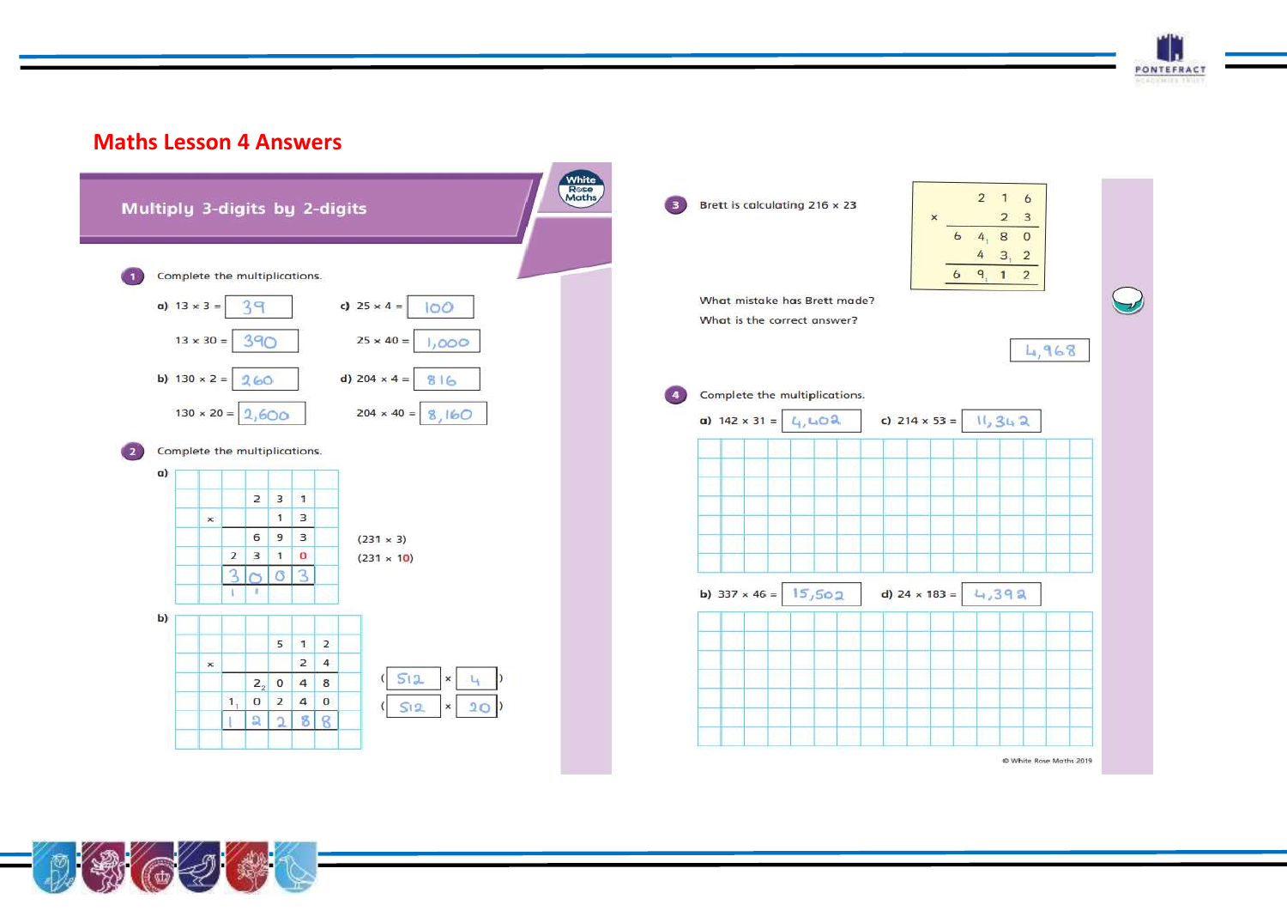

#### White<br>Rose<br>Maths  $2 \t1 \t6$  $\bullet$ Brett is calculating 216 x 23 Multiply 3-digits by 2-digits  $2 \quad 3$  $64,80$  $4 \quad 3 \quad 2$  $69.12$ Complete the multiplications.  $\blacksquare$ What mistake has Brett made? c)  $25 \times 4 =$ a)  $13 \times 3 =$ 39  $100$ What is the correct answer? 390  $13 \times 30 =$  $25 \times 40 =$  $1,000$ 4,968 b)  $130 \times 2 = 260$ d) 204  $\times$  4 = 816 Complete the multiplications.  $\left( 4\right)$  $130 \times 20 = 2,600$  $204 \times 40 = 8,160$ 4,402 c)  $214 \times 53 =$   $11, 34, 2$ a)  $142 \times 31 =$  $\left( 2\right)$ Complete the multiplications.  $\alpha$ )  $2 \mid 3 \mid 1$  $1 \mid 3$  $\mathbf{x}$  $6 \mid 9 \mid 3$  $(231 \times 3)$  $2310$  $(231 \times 10)$  $3<sub>0</sub>$  $\sigma$  3  $15,502$ b)  $337 \times 46 =$ d)  $24 \times 183 =$  $4,392$  $\mathbf{U}$ 11.  $b)$  $5 \mid 1 \mid 2$  $2 \mid 4$  $\boldsymbol{\times}$  $(s)$ L.  $2, 0 4 8$ 1.  $S12$  $20$  $\times$  $88$  $\Omega$  $\overline{2}$ ٠ @ White Rose Maths 2019



**Maths Lesson 4 Answers**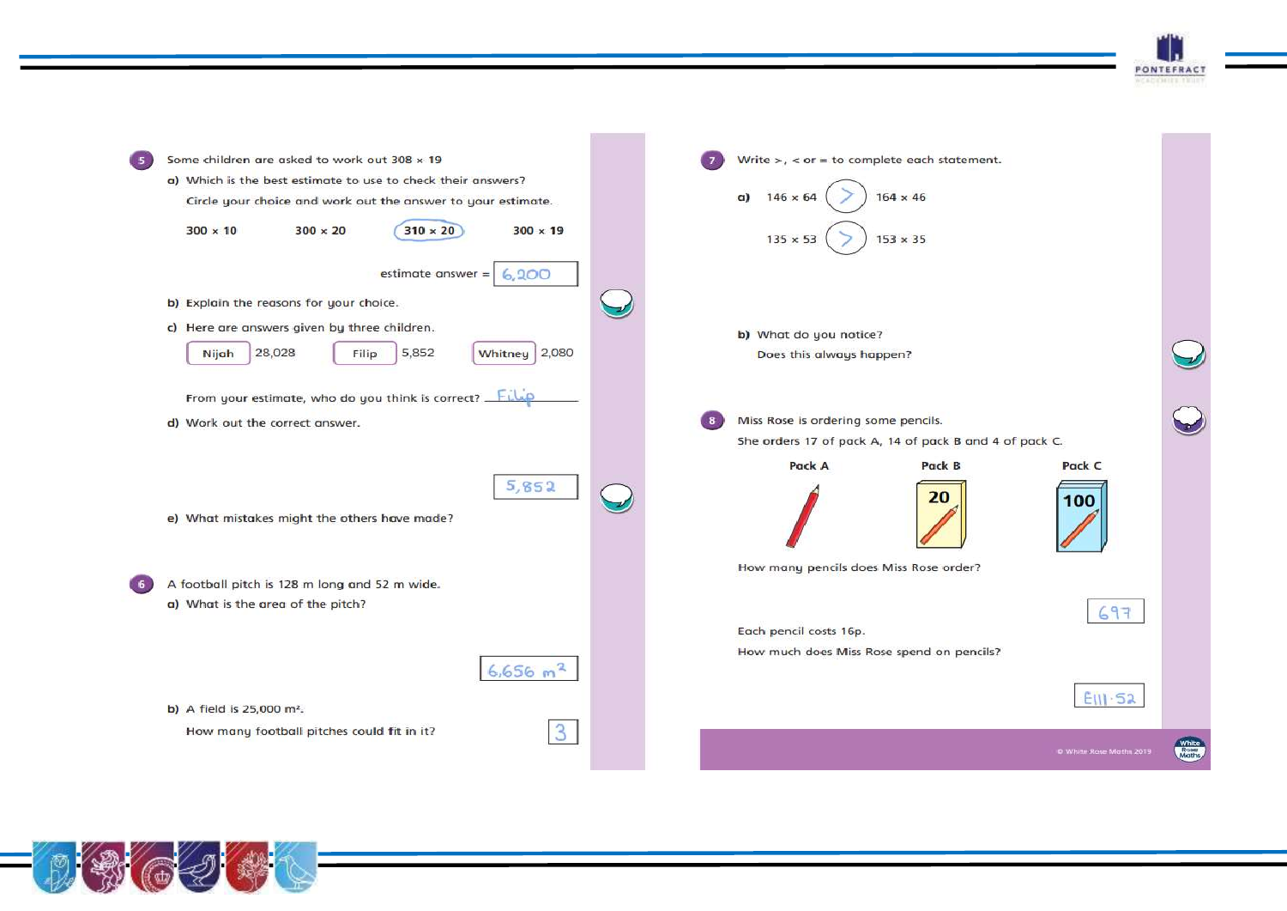**PONTEFRACT** 

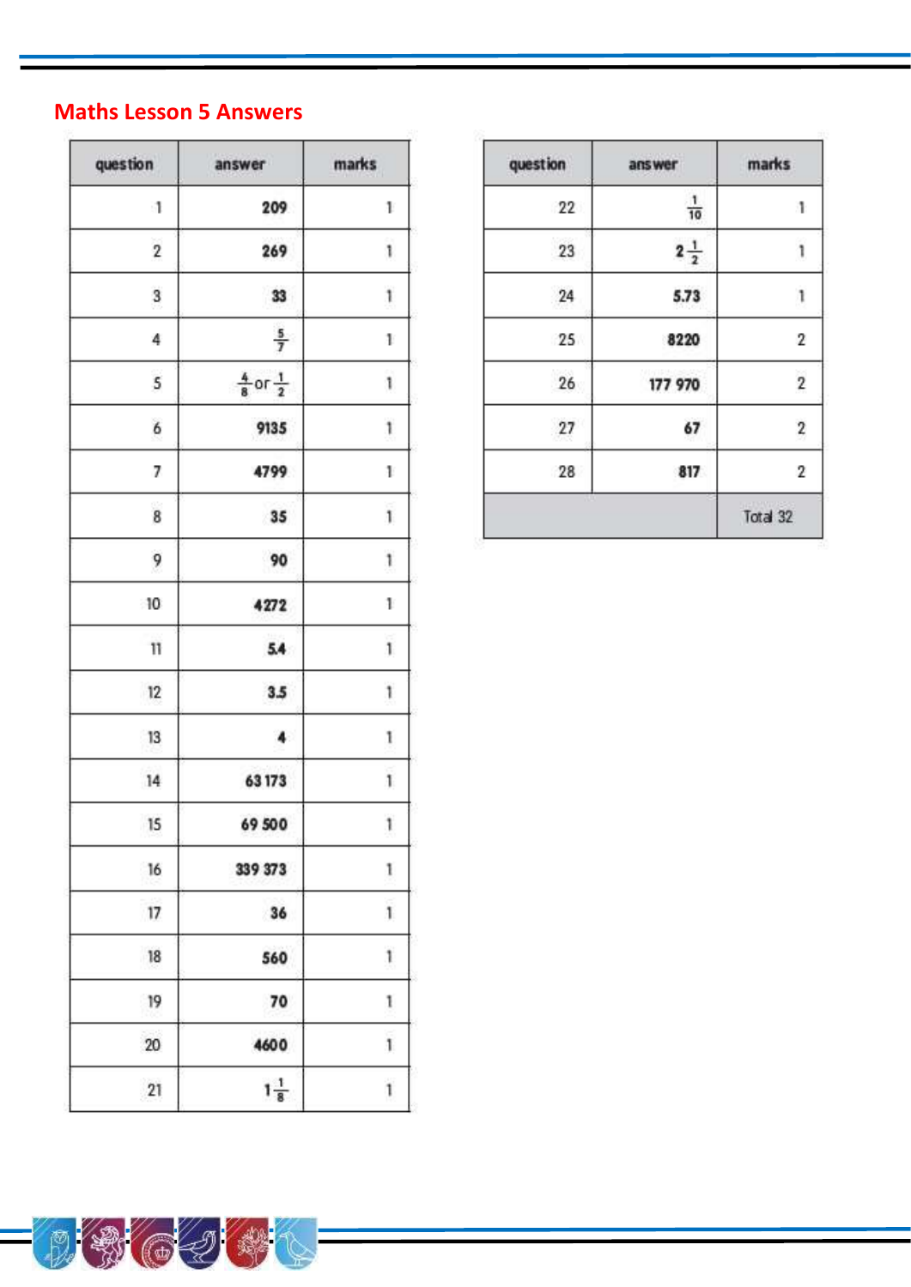# **Maths Lesson 5 Answers**

| question                | answer                         | marks        |  |
|-------------------------|--------------------------------|--------------|--|
| $\mathbf{1}$            | 209                            | 1            |  |
| $\overline{\mathbf{c}}$ | 269                            | 1            |  |
| 3                       | 33                             | 1            |  |
| 4                       | $\frac{5}{7}$                  | 1            |  |
| 5                       | $\frac{4}{8}$ or $\frac{1}{2}$ | 1            |  |
| 6                       | 9135                           | 1            |  |
| 7                       | 4799                           | 1            |  |
| 8                       | 35                             | $\mathbf{1}$ |  |
| 9                       | 90                             | 1            |  |
| 10                      | 4272                           | $\mathbf{1}$ |  |
| 11                      | 5.4                            | ï            |  |
| 12                      | 3.5                            | 1            |  |
| 13                      | $\ddot{\phantom{a}}$           | 1            |  |
| 14                      | 63173                          | 1            |  |
| 15                      | 69 500                         | 1            |  |
| 16                      | 339 373                        | 1            |  |
| 17                      | 36                             | 1            |  |
| 18                      | 560                            | 1            |  |
| 19                      | 70                             | 1            |  |
| 20                      | 4600                           | 1            |  |
| 21                      | $1\frac{1}{8}$                 | 1            |  |

 $\circledast$ 

ð,

| marks                   | answer         | question        |  |
|-------------------------|----------------|-----------------|--|
| 1                       | $\frac{1}{10}$ | 22              |  |
| ï                       | $2\frac{1}{2}$ | 23              |  |
| 1                       | 5.73           | 24              |  |
| $\overline{2}$          | 8220           | 25              |  |
| $\overline{\mathbf{c}}$ | 177 970        | $\overline{26}$ |  |
| $\overline{\mathbf{c}}$ | 67             | 27              |  |
| $\overline{2}$          | 817            | 28              |  |
| Total 32                |                |                 |  |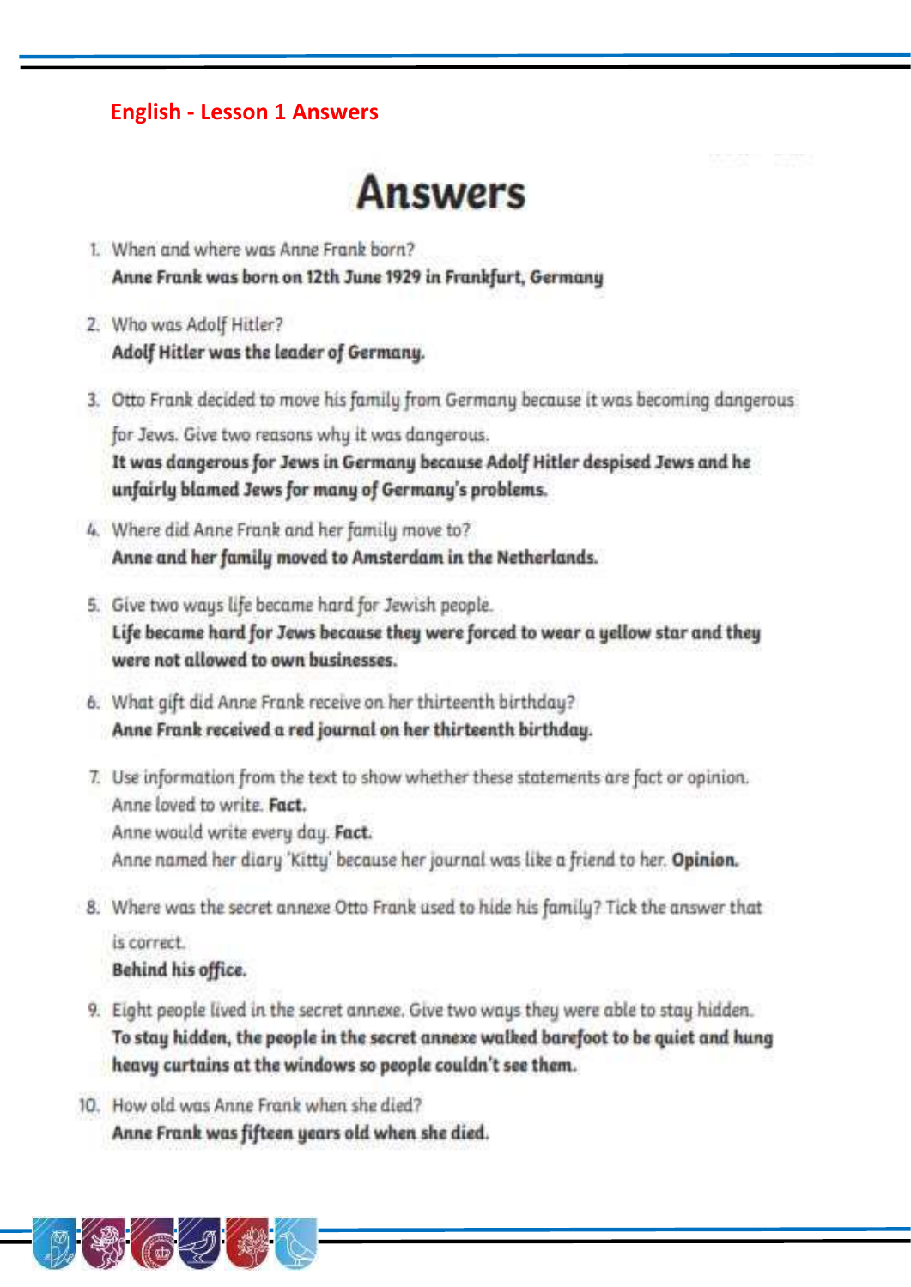#### **English - Lesson 1 Answers**

# **Answers**

- 1 When and where was Anne Frank born? Anne Frank was born on 12th June 1929 in Frankfurt, Germany
- 2. Who was Adolf Hitler? Adolf Hitler was the leader of Germany.
- 3. Otto Frank decided to move his family from Germany because it was becoming dangerous for Jews. Give two reasons why it was dangerous.

It was dangerous for Jews in Germany because Adolf Hitler despised Jews and he unfairly blamed Jews for many of Germany's problems.

- 4. Where did Anne Frank and her family move to? Anne and her family moved to Amsterdam in the Netherlands.
- 5. Give two ways life became hard for Jewish people. Life became hard for Jews because they were forced to wear a yellow star and they were not allowed to own businesses.
- 6. What gift did Anne Frank receive on her thirteenth birthday? Anne Frank received a red journal on her thirteenth birthday.
- 7. Use information from the text to show whether these statements are fact or opinion. Anne loved to write. Fact.
	- Anne would write every day. Fact.
	- Anne named her diary 'Kitty' because her journal was like a friend to her. Opinion.
- 8. Where was the secret annexe Otto Frank used to hide his family? Tick the answer that

is correct. Behind his office.

- 9. Eight people lived in the secret annexe. Give two ways they were able to stay hidden. To stay hidden, the people in the secret annexe walked barefoot to be quiet and hung heavy curtains at the windows so people couldn't see them.
- 10. How old was Anne Frank when she died? Anne Frank was fifteen years old when she died.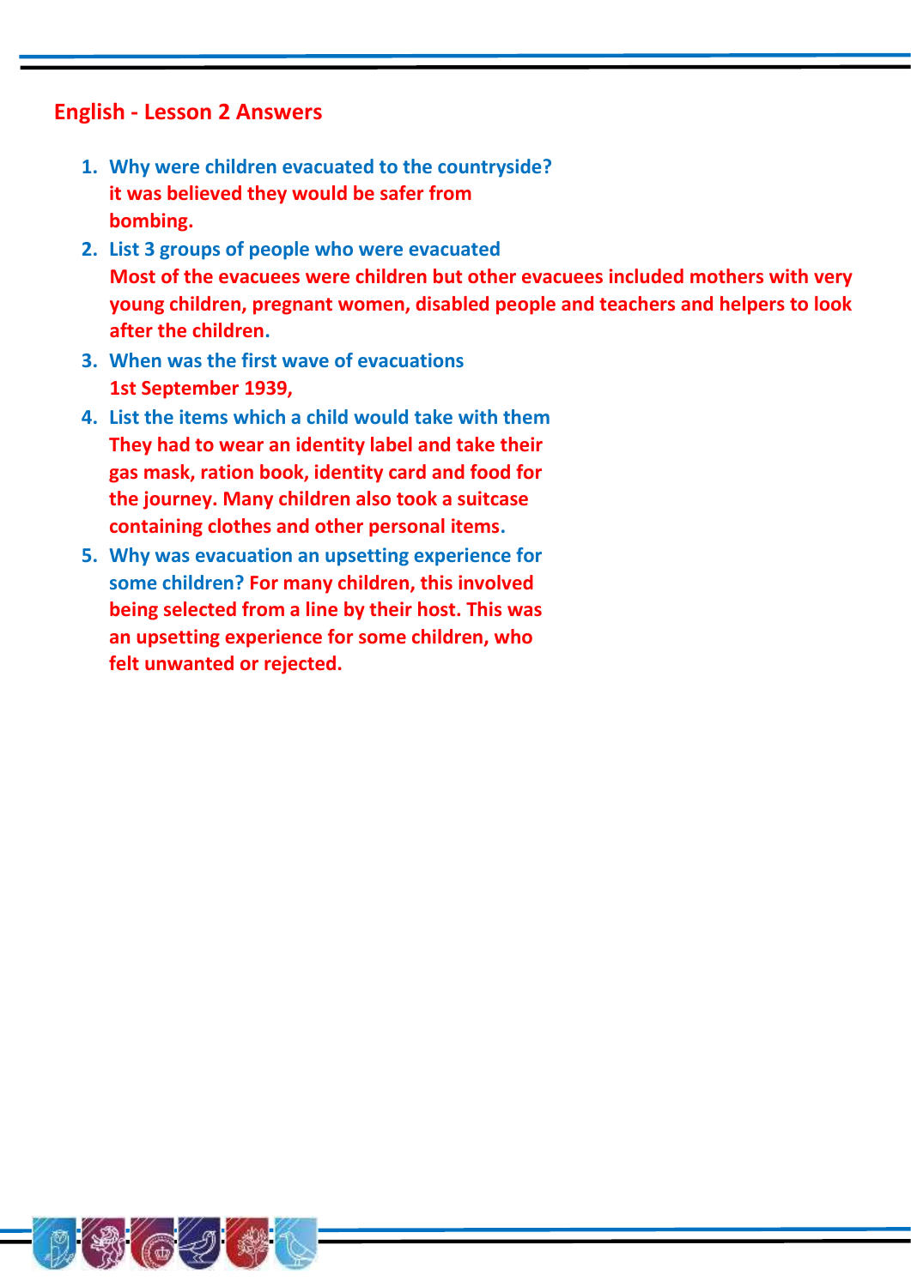#### **English - Lesson 2 Answers**

- **1. Why were children evacuated to the countryside? it was believed they would be safer from bombing.**
- **2. List 3 groups of people who were evacuated Most of the evacuees were children but other evacuees included mothers with very young children, pregnant women, disabled people and teachers and helpers to look after the children.**
- **3. When was the first wave of evacuations 1st September 1939,**
- **4. List the items which a child would take with them They had to wear an identity label and take their gas mask, ration book, identity card and food for the journey. Many children also took a suitcase containing clothes and other personal items.**
- **5. Why was evacuation an upsetting experience for some children? For many children, this involved being selected from a line by their host. This was an upsetting experience for some children, who felt unwanted or rejected.**

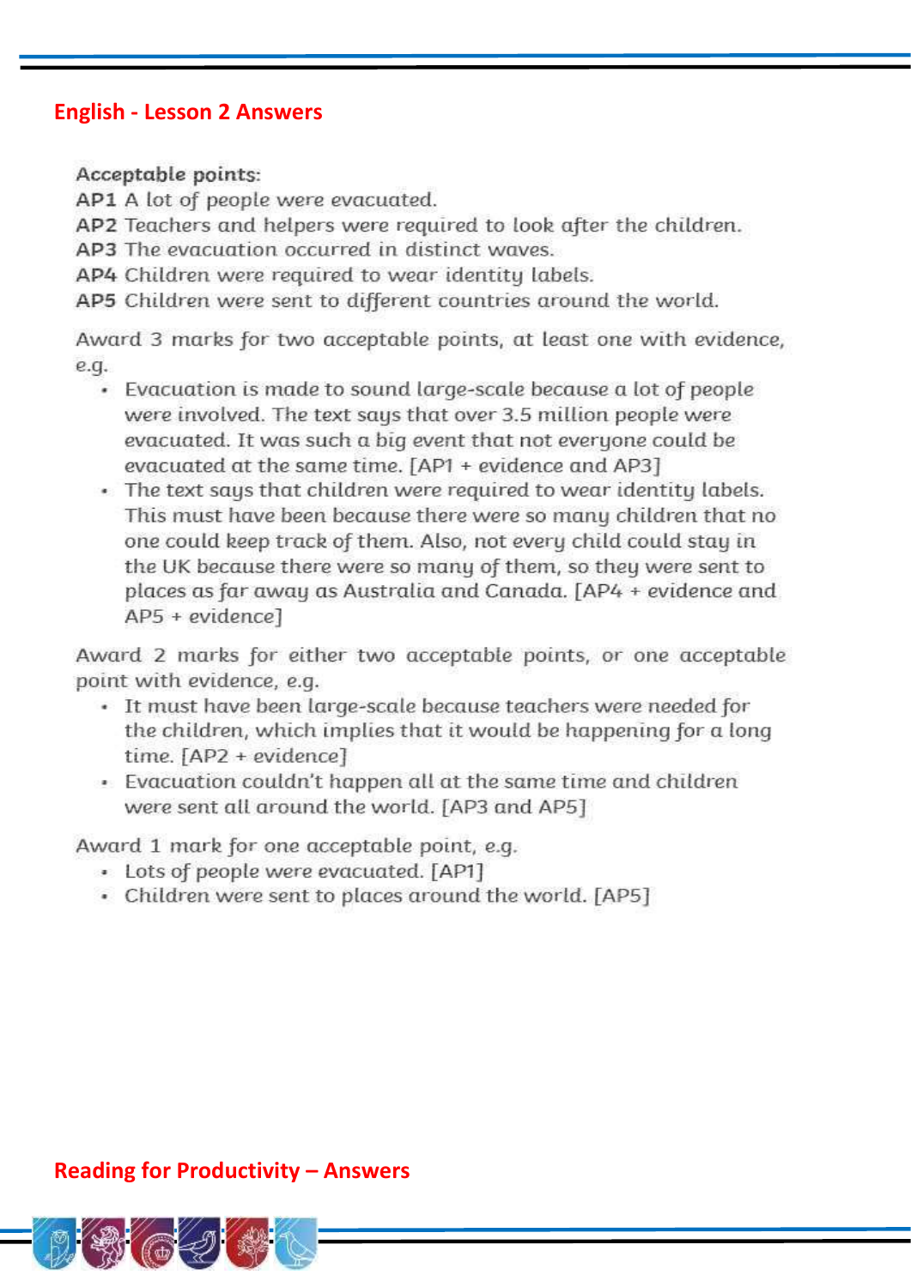#### **English - Lesson 2 Answers**

Acceptable points:

AP1 A lot of people were evacuated.

AP2 Teachers and helpers were required to look after the children.

AP3 The evacuation occurred in distinct waves.

AP4 Children were required to wear identity labels.

AP5 Children were sent to different countries around the world.

Award 3 marks for two acceptable points, at least one with evidence, e.q.

- Evacuation is made to sound large-scale because a lot of people were involved. The text says that over 3.5 million people were evacuated. It was such a big event that not everyone could be evacuated at the same time. [AP1 + evidence and AP3]
- . The text says that children were required to wear identity labels. This must have been because there were so many children that no one could keep track of them. Also, not every child could stay in the UK because there were so many of them, so they were sent to places as far away as Australia and Canada. [AP4 + evidence and AP5 + evidence]

Award 2 marks for either two acceptable points, or one acceptable point with evidence, e.g.

- · It must have been large-scale because teachers were needed for the children, which implies that it would be happening for a long time. [AP2 + evidence]
- Evacuation couldn't happen all at the same time and children were sent all around the world. [AP3 and AP5]

Award 1 mark for one acceptable point, e.g.

- Lots of people were evacuated. [AP1]
- Children were sent to places around the world. [AP5]

#### **Reading for Productivity - Answers**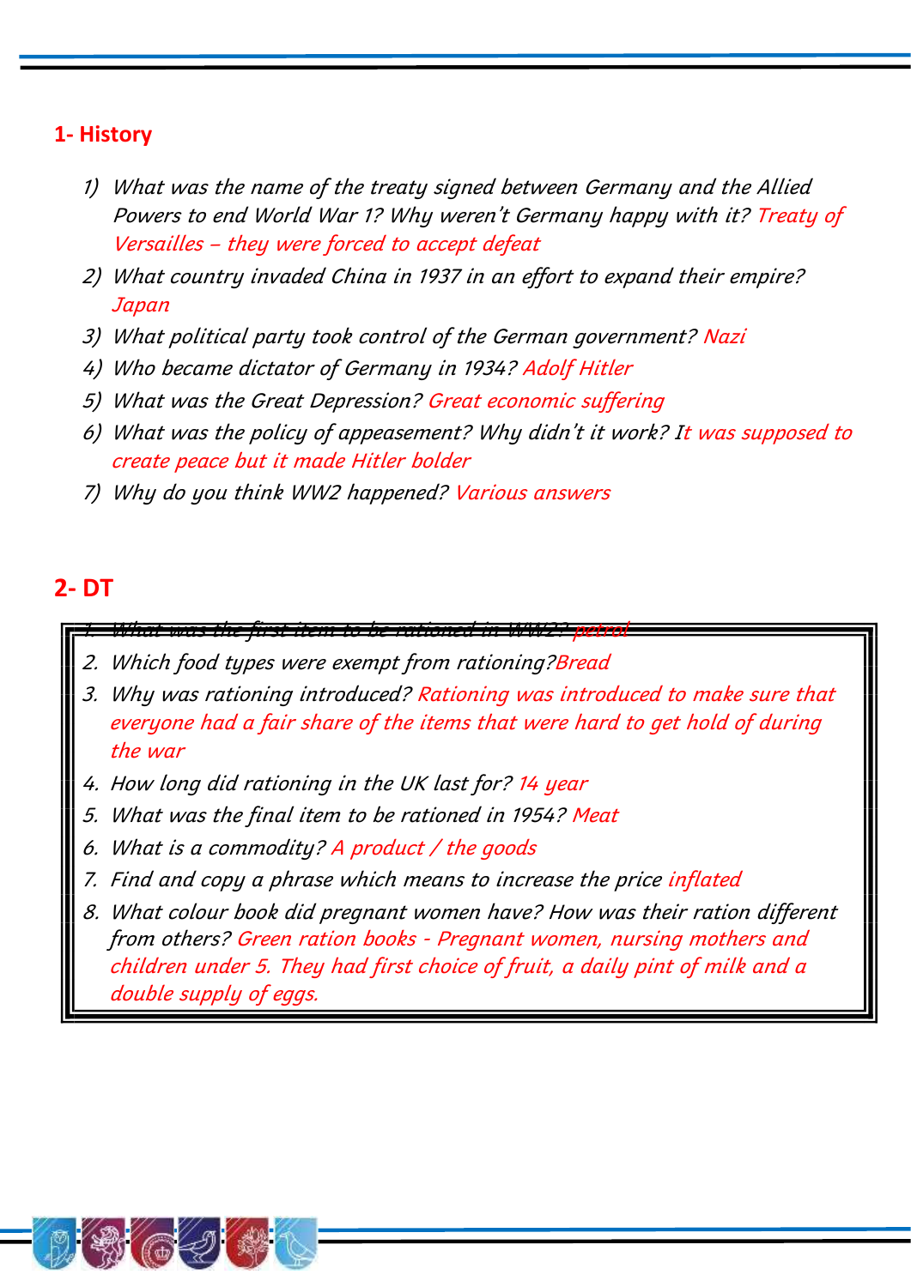## **1- History**

- 1) What was the name of the treaty signed between Germany and the Allied Powers to end World War 1? Why weren't Germany happy with it? Treaty of Versailles – they were forced to accept defeat
- 2) What country invaded China in 1937 in an effort to expand their empire? Japan
- 3) What political party took control of the German government? Nazi
- 4) Who became dictator of Germany in 1934? Adolf Hitler
- 5) What was the Great Depression? Great economic suffering
- 6) What was the policy of appeasement? Why didn't it work? It was supposed to create peace but it made Hitler bolder
- 7) Why do you think WW2 happened? Various answers

#### **2- DT**

#### What was the first item to be rationed in WW2?

- 2. Which food types were exempt from rationing?Bread
- 3. Why was rationing introduced? Rationing was introduced to make sure that everyone had a fair share of the items that were hard to get hold of during the war
- 4. How long did rationing in the UK last for? 14 year
- 5. What was the final item to be rationed in 1954? Meat
- 6. What is a commodity? A product / the goods
- 7. Find and copy a phrase which means to increase the price inflated
- 8. What colour book did pregnant women have? How was their ration different from others? Green ration books - Pregnant women, nursing mothers and children under 5. They had first choice of fruit, a daily pint of milk and a double supply of eggs.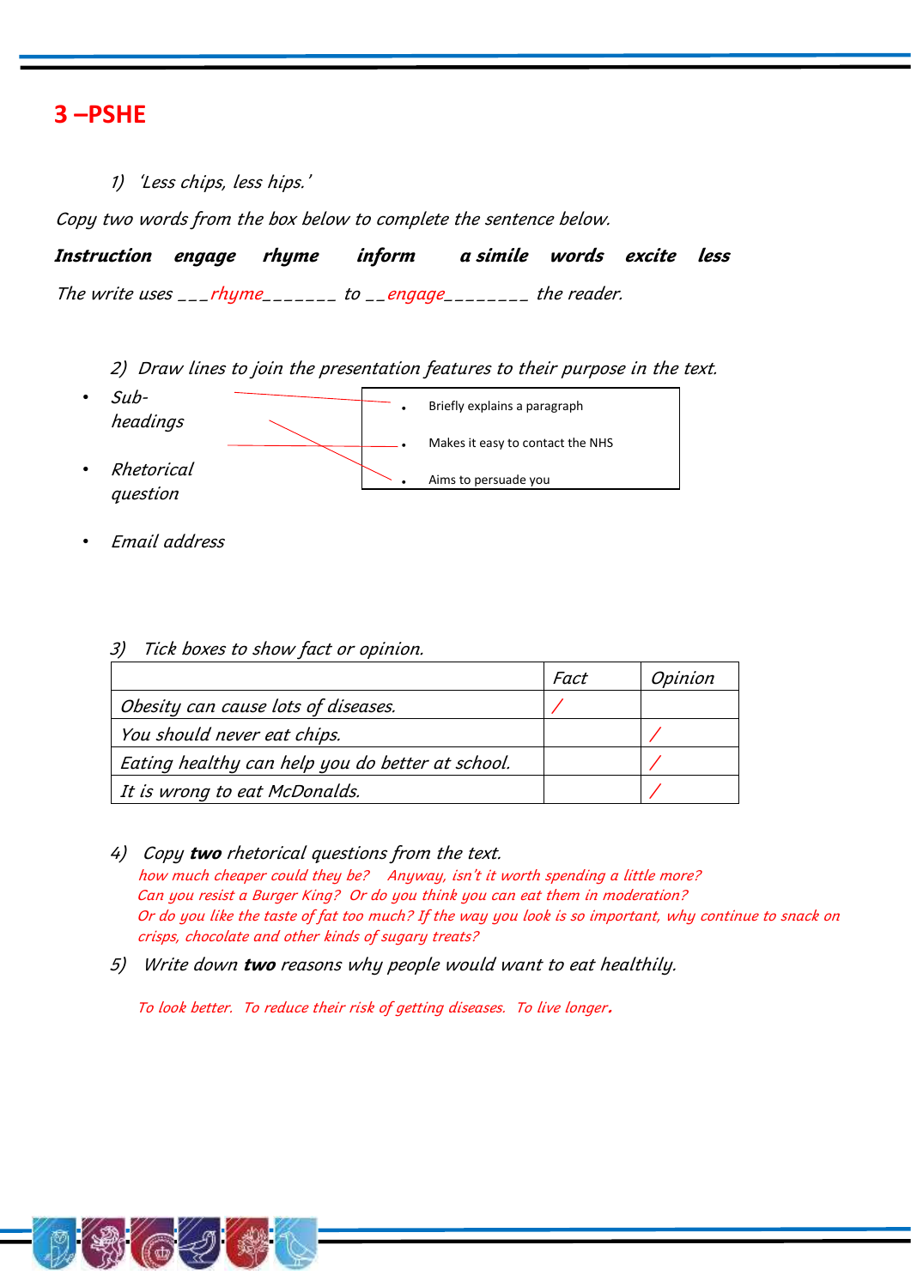### **3 –PSHE**

1) 'Less chips, less hips.'

Copy two words from the box below to complete the sentence below.

**Instruction engage rhyme inform a simile words excite less**  The write uses  $\frac{1}{2}$  rhyme  $\frac{1}{2}$  to  $\frac{1}{2}$  engage  $\frac{1}{2}$  the reader.

2) Draw lines to join the presentation features to their purpose in the text.



• Email address

|  |  | 3) Tick boxes to show fact or opinion. |  |
|--|--|----------------------------------------|--|
|--|--|----------------------------------------|--|

|                                                  | Fact | Opinion |
|--------------------------------------------------|------|---------|
| Obesity can cause lots of diseases.              |      |         |
| You should never eat chips.                      |      |         |
| Eating healthy can help you do better at school. |      |         |
| It is wrong to eat McDonalds.                    |      |         |

- 4) Copy **two** rhetorical questions from the text. how much cheaper could they be? Anyway, isn't it worth spending a little more? Can you resist a Burger King? Or do you think you can eat them in moderation? Or do you like the taste of fat too much? If the way you look is so important, why continue to snack on crisps, chocolate and other kinds of sugary treats?
- 5) Write down **two** reasons why people would want to eat healthily.

To look better. To reduce their risk of getting diseases. To live longer.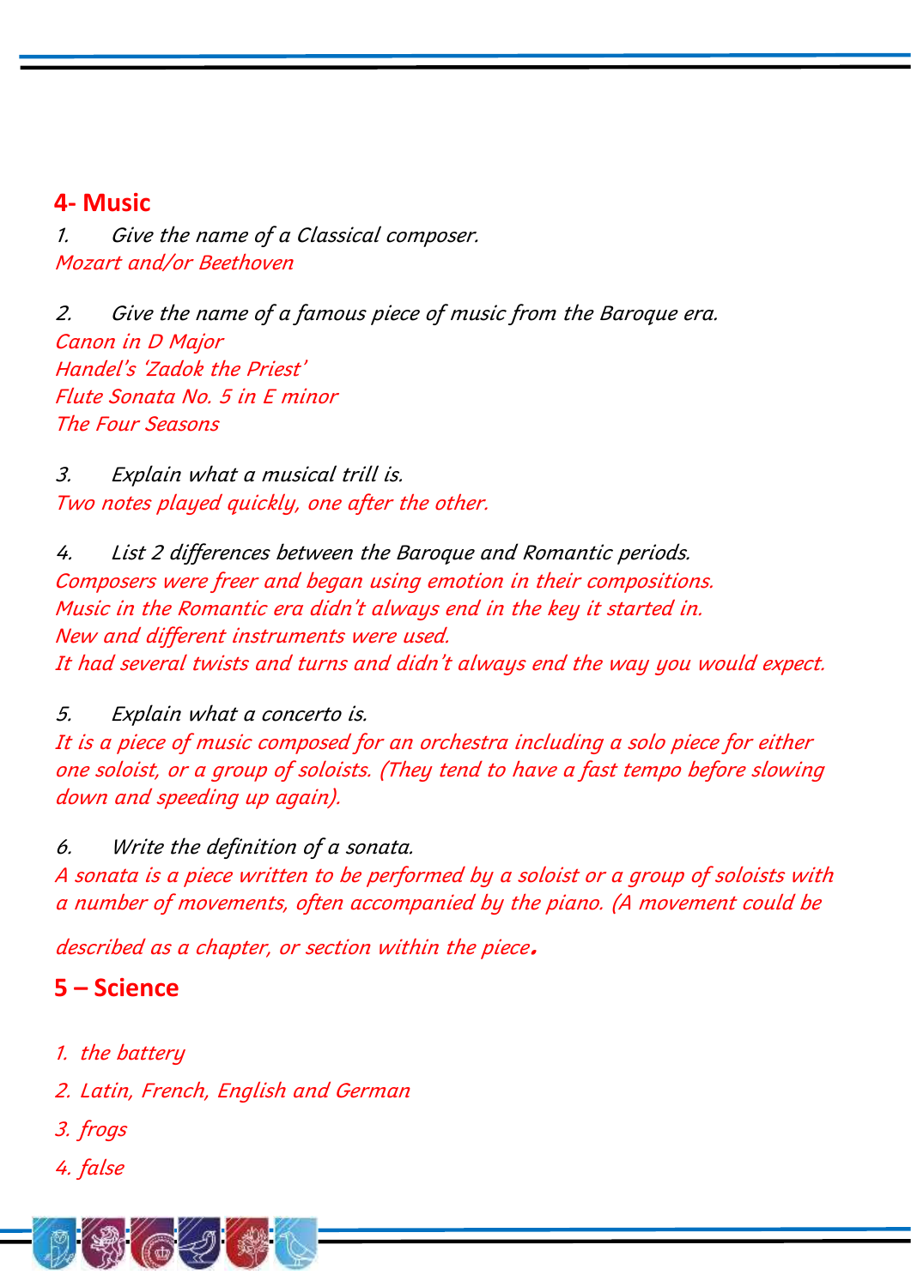# **4- Music**

1. Give the name of a Classical composer. Mozart and/or Beethoven

2. Give the name of a famous piece of music from the Baroque era. Canon in D Major Handel's 'Zadok the Priest' Flute Sonata No. 5 in E minor The Four Seasons

3. Explain what a musical trill is. Two notes played quickly, one after the other.

4. List 2 differences between the Baroque and Romantic periods. Composers were freer and began using emotion in their compositions. Music in the Romantic era didn't always end in the key it started in. New and different instruments were used. It had several twists and turns and didn't always end the way you would expect.

5. Explain what a concerto is. It is a piece of music composed for an orchestra including a solo piece for either one soloist, or a group of soloists. (They tend to have a fast tempo before slowing down and speeding up again).

6. Write the definition of a sonata. A sonata is a piece written to be performed by a soloist or a group of soloists with a number of movements, often accompanied by the piano. (A movement could be

described as a chapter, or section within the piece.

# **5 – Science**

1. the battery

2. Latin, French, English and German

- 3. frogs
- 4. false